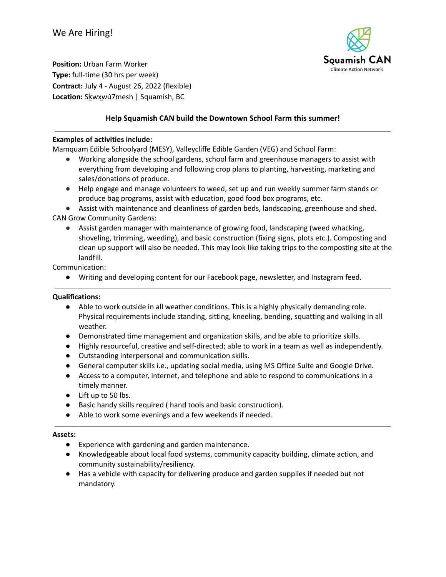

**Position:** Urban Farm Worker **Type:** full-time (30 hrs per week) **Contract:** July 4 - August 26, 2022 (flexible) **Location:** Sḵwx̱wú7mesh | Squamish, BC

# **Help Squamish CAN build the Downtown School Farm this summer!**

### **Examples of activities include:**

Mamquam Edible Schoolyard (MESY), Valleycliffe Edible Garden (VEG) and School Farm:

- Working alongside the school gardens, school farm and greenhouse managers to assist with everything from developing and following crop plans to planting, harvesting, marketing and sales/donations of produce.
- Help engage and manage volunteers to weed, set up and run weekly summer farm stands or produce bag programs, assist with education, good food box programs, etc.

● Assist with maintenance and cleanliness of garden beds, landscaping, greenhouse and shed. CAN Grow Community Gardens:

● Assist garden manager with maintenance of growing food, landscaping (weed whacking, shoveling, trimming, weeding), and basic construction (fixing signs, plots etc.). Composting and clean up support will also be needed. This may look like taking trips to the composting site at the landfill.

Communication:

● Writing and developing content for our Facebook page, newsletter, and Instagram feed.

## **Qualifications:**

- Able to work outside in all weather conditions. This is a highly physically demanding role. Physical requirements include standing, sitting, kneeling, bending, squatting and walking in all weather.
- Demonstrated time management and organization skills, and be able to prioritize skills.
- Highly resourceful, creative and self-directed; able to work in a team as well as independently.
- Outstanding interpersonal and communication skills.
- General computer skills i.e., updating social media, using MS Office Suite and Google Drive.
- Access to a computer, internet, and telephone and able to respond to communications in a timely manner.
- Lift up to 50 lbs.
- Basic handy skills required ( hand tools and basic construction).
- Able to work some evenings and a few weekends if needed.

#### **Assets:**

- Experience with gardening and garden maintenance.
- Knowledgeable about local food systems, community capacity building, climate action, and community sustainability/resiliency.
- Has a vehicle with capacity for delivering produce and garden supplies if needed but not mandatory.